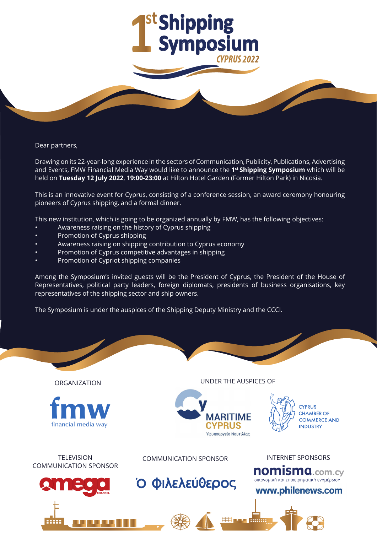

Dear partners,

Drawing on its 22-year-long experience in the sectors of Communication, Publicity, Publications, Advertising and Events, FMW Financial Media Way would like to announce the **1st Shipping Symposium** which will be held on **Tuesday 12 July 2022**, **19:00-23:00** at Hilton Hotel Garden (Former Hilton Park) in Nicosia.

This is an innovative event for Cyprus, consisting of a conference session, an award ceremony honouring pioneers of Cyprus shipping, and a formal dinner.

This new institution, which is going to be organized annually by FMW, has the following objectives:

- Awareness raising on the history of Cyprus shipping
- Promotion of Cyprus shipping
- Awareness raising on shipping contribution to Cyprus economy
- Promotion of Cyprus competitive advantages in shipping
- Promotion of Cypriot shipping companies

Among the Symposium's invited guests will be the President of Cyprus, the President of the House of Representatives, political party leaders, foreign diplomats, presidents of business organisations, key representatives of the shipping sector and ship owners.

The Symposium is under the auspices of the Shipping Deputy Ministry and the CCCI.

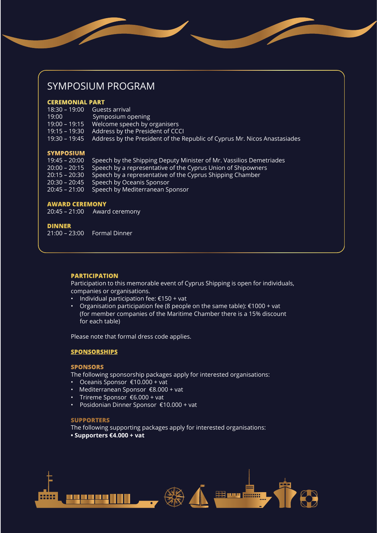# SYMPOSIUM PROGRAM

### **CEREMONIAL PART**

| 18:30 – 19:00 Guests arrival |                                                                                         |
|------------------------------|-----------------------------------------------------------------------------------------|
| 19:00                        | Symposium opening                                                                       |
|                              | 19:00 – 19:15 Welcome speech by organisers                                              |
|                              | 19:15 – 19:30 Address by the President of CCCI                                          |
|                              | 19:30 – 19:45 Address by the President of the Republic of Cyprus Mr. Nicos Anastasiades |
|                              |                                                                                         |

#### **SYMPOSIUM**

| 19:45 – 20:00   | Speech by the Shipping Deputy Minister of Mr. Vassilios Demetriades        |
|-----------------|----------------------------------------------------------------------------|
|                 | 20:00 – 20:15 Speech by a representative of the Cyprus Union of Shipowners |
|                 | 20:15 – 20:30 Speech by a representative of the Cyprus Shipping Chamber    |
|                 | 20:30 – 20:45 Speech by Oceanis Sponsor                                    |
| $20:45 - 21:00$ | Speech by Mediterranean Sponsor                                            |

#### **AWARD CEREMONY**

20:45 – 21:00 Award ceremony

#### **DINNER**

21:00 – 23:00 Formal Dinner

#### **PARTICIPATION**

Participation to this memorable event of Cyprus Shipping is open for individuals, companies or organisations.

- Individual participation fee: €150 + vat
- Organisation participation fee (8 people on the same table): €1000 + vat (for member companies of the Maritime Chamber there is a 15% discount for each table)

Please note that formal dress code applies.

#### **SPONSORSHIPS**

#### **SPONSORS**

The following sponsorship packages apply for interested organisations:

- Oceanis Sponsor €10.000 + vat
- Mediterranean Sponsor €8.000 + vat
- Trireme Sponsor €6.000 + vat
- Posidonian Dinner Sponsor €10.000 + vat

## **SUPPORTERS**

The following supporting packages apply for interested organisations:

**• Supporters €4.000 + vat** 

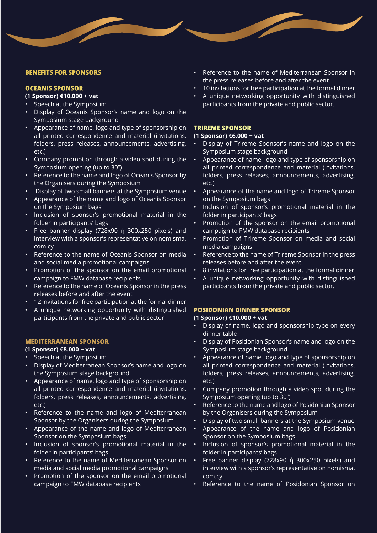#### **BENEFITS FOR SPONSORS**

## **OCEANIS SPONSOR**

## **(1 Sponsor) €10.000 + vat**

- Speech at the Symposium
- Display of Oceanis Sponsor's name and logo on the Symposium stage background
- Appearance of name, logo and type of sponsorship on all printed correspondence and material (invitations, folders, press releases, announcements, advertising, etc.)
- Company promotion through a video spot during the Symposium opening (up to 30'')
- Reference to the name and logo of Oceanis Sponsor by the Organisers during the Symposium
- Display of two small banners at the Symposium venue
- Appearance of the name and logo of Oceanis Sponsor on the Symposium bags
- Inclusion of sponsor's promotional material in the folder in participants' bags
- Free banner display (728x90 ή 300x250 pixels) and interview with a sponsor's representative on nomisma. com.cy
- Reference to the name of Oceanis Sponsor on media and social media promotional campaigns
- Promotion of the sponsor on the email promotional campaign to FMW database recipients
- Reference to the name of Oceanis Sponsor in the press releases before and after the event
- 12 invitations for free participation at the formal dinner
- A unique networking opportunity with distinguished participants from the private and public sector.

#### **MEDITERRANEAN SPONSOR**

### **(1 Sponsor) €8.000 + vat**

- Speech at the Symposium
- Display of Mediterranean Sponsor's name and logo on the Symposium stage background
- Appearance of name, logo and type of sponsorship on all printed correspondence and material (invitations, folders, press releases, announcements, advertising, etc.)
- Reference to the name and logo of Mediterranean Sponsor by the Organisers during the Symposium
- Appearance of the name and logo of Mediterranean Sponsor on the Symposium bags
- Inclusion of sponsor's promotional material in the folder in participants' bags
- Reference to the name of Mediterranean Sponsor on media and social media promotional campaigns
- Promotion of the sponsor on the email promotional campaign to FMW database recipients
- Reference to the name of Mediterranean Sponsor in the press releases before and after the event
- 10 invitations for free participation at the formal dinner
- A unique networking opportunity with distinguished participants from the private and public sector.

#### **TRIREME SPONSOR**

## **(1 Sponsor) €6.000 + vat**

- Display of Trireme Sponsor's name and logo on the Symposium stage background
- Appearance of name, logo and type of sponsorship on all printed correspondence and material (invitations, folders, press releases, announcements, advertising, etc.)
- Appearance of the name and logo of Trireme Sponsor on the Symposium bags
- Inclusion of sponsor's promotional material in the folder in participants' bags
- Promotion of the sponsor on the email promotional campaign to FMW database recipients
- Promotion of Trireme Sponsor on media and social media campaigns
- Reference to the name of Trireme Sponsor in the press releases before and after the event
- 8 invitations for free participation at the formal dinner
- A unique networking opportunity with distinguished participants from the private and public sector.

## **POSIDONIAN DINNER SPONSOR**

#### **(1 Sponsor) €10.000 + vat**

- Display of name, logo and sponsorship type on every dinner table
- Display of Posidonian Sponsor's name and logo on the Symposium stage background
- Appearance of name, logo and type of sponsorship on all printed correspondence and material (invitations, folders, press releases, announcements, advertising, etc.)
- Company promotion through a video spot during the Symposium opening (up to 30'')
- Reference to the name and logo of Posidonian Sponsor by the Organisers during the Symposium
- Display of two small banners at the Symposium venue
- Appearance of the name and logo of Posidonian Sponsor on the Symposium bags
- Inclusion of sponsor's promotional material in the folder in participants' bags
- Free banner display (728x90 ή 300x250 pixels) and interview with a sponsor's representative on nomisma. com.cy
- Reference to the name of Posidonian Sponsor on